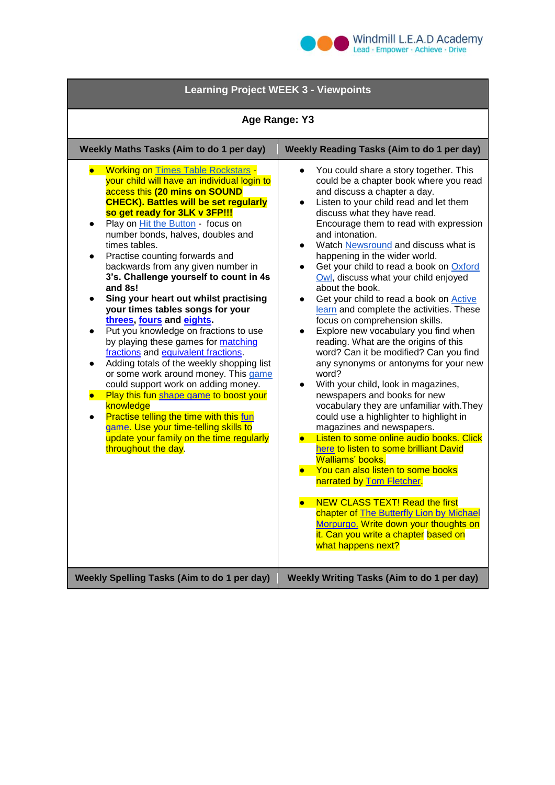

| <b>Learning Project WEEK 3 - Viewpoints</b>                                                                                                                                                                                                                                                                                                                                                                                                                                                                                                                                                                                                                                                                                                                                                                                                                                                                                                                                                                                                            |                                                                                                                                                                                                                                                                                                                                                                                                                                                                                                                                                                                                                                                                                                                                                                                                                                                                                                                                                                                                                                                                                                                                                                                                                                                                                                                                                          |
|--------------------------------------------------------------------------------------------------------------------------------------------------------------------------------------------------------------------------------------------------------------------------------------------------------------------------------------------------------------------------------------------------------------------------------------------------------------------------------------------------------------------------------------------------------------------------------------------------------------------------------------------------------------------------------------------------------------------------------------------------------------------------------------------------------------------------------------------------------------------------------------------------------------------------------------------------------------------------------------------------------------------------------------------------------|----------------------------------------------------------------------------------------------------------------------------------------------------------------------------------------------------------------------------------------------------------------------------------------------------------------------------------------------------------------------------------------------------------------------------------------------------------------------------------------------------------------------------------------------------------------------------------------------------------------------------------------------------------------------------------------------------------------------------------------------------------------------------------------------------------------------------------------------------------------------------------------------------------------------------------------------------------------------------------------------------------------------------------------------------------------------------------------------------------------------------------------------------------------------------------------------------------------------------------------------------------------------------------------------------------------------------------------------------------|
| Age Range: Y3                                                                                                                                                                                                                                                                                                                                                                                                                                                                                                                                                                                                                                                                                                                                                                                                                                                                                                                                                                                                                                          |                                                                                                                                                                                                                                                                                                                                                                                                                                                                                                                                                                                                                                                                                                                                                                                                                                                                                                                                                                                                                                                                                                                                                                                                                                                                                                                                                          |
| Weekly Maths Tasks (Aim to do 1 per day)                                                                                                                                                                                                                                                                                                                                                                                                                                                                                                                                                                                                                                                                                                                                                                                                                                                                                                                                                                                                               | Weekly Reading Tasks (Aim to do 1 per day)                                                                                                                                                                                                                                                                                                                                                                                                                                                                                                                                                                                                                                                                                                                                                                                                                                                                                                                                                                                                                                                                                                                                                                                                                                                                                                               |
| • Working on Times Table Rockstars -<br>your child will have an individual login to<br>access this (20 mins on SOUND<br><b>CHECK). Battles will be set regularly</b><br>so get ready for 3LK v 3FP!!!<br>Play on Hit the Button - focus on<br>$\bullet$<br>number bonds, halves, doubles and<br>times tables.<br>Practise counting forwards and<br>$\bullet$<br>backwards from any given number in<br>3's. Challenge yourself to count in 4s<br>and 8s!<br>Sing your heart out whilst practising<br>your times tables songs for your<br>threes, fours and eights.<br>Put you knowledge on fractions to use<br>by playing these games for matching<br>fractions and equivalent fractions.<br>Adding totals of the weekly shopping list<br>or some work around money. This game<br>could support work on adding money.<br>Play this fun shape game to boost your<br>knowledge<br><b>Practise telling the time with this fun</b><br>$\bullet$<br>game. Use your time-telling skills to<br>update your family on the time regularly<br>throughout the day. | You could share a story together. This<br>could be a chapter book where you read<br>and discuss a chapter a day.<br>Listen to your child read and let them<br>discuss what they have read.<br>Encourage them to read with expression<br>and intonation.<br>Watch Newsround and discuss what is<br>$\bullet$<br>happening in the wider world.<br>Get your child to read a book on Oxford<br>$\bullet$<br>Owl, discuss what your child enjoyed<br>about the book.<br>Get your child to read a book on Active<br>$\bullet$<br>learn and complete the activities. These<br>focus on comprehension skills.<br>Explore new vocabulary you find when<br>reading. What are the origins of this<br>word? Can it be modified? Can you find<br>any synonyms or antonyms for your new<br>word?<br>With your child, look in magazines,<br>newspapers and books for new<br>vocabulary they are unfamiliar with. They<br>could use a highlighter to highlight in<br>magazines and newspapers.<br>Listen to some online audio books. Click<br>here to listen to some brilliant David<br>Walliams' books.<br>• You can also listen to some books<br>narrated by Tom Fletcher.<br><b>NEW CLASS TEXT! Read the first</b><br>chapter of The Butterfly Lion by Michael<br>Morpurgo. Write down your thoughts on<br>it. Can you write a chapter based on<br>what happens next? |
| <b>Weekly Spelling Tasks (Aim to do 1 per day)</b>                                                                                                                                                                                                                                                                                                                                                                                                                                                                                                                                                                                                                                                                                                                                                                                                                                                                                                                                                                                                     | <b>Weekly Writing Tasks (Aim to do 1 per day)</b>                                                                                                                                                                                                                                                                                                                                                                                                                                                                                                                                                                                                                                                                                                                                                                                                                                                                                                                                                                                                                                                                                                                                                                                                                                                                                                        |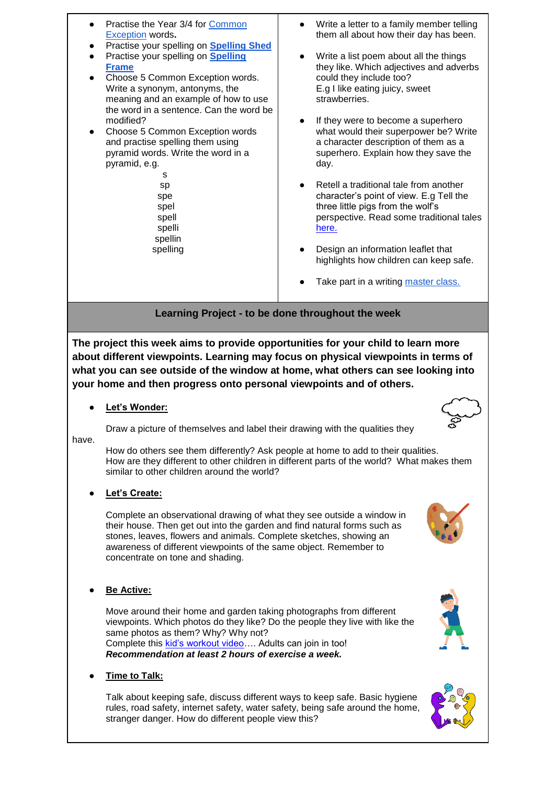Practise the Year 3/4 for Common [Exception](http://www.crosslee.manchester.sch.uk/serve_file/253974) words**. Practise your spelling on [Spelling Shed](https://www.spellingshed.com/en-gb)** ● Practise your spelling on **[Spelling](https://spellingframe.co.uk/)  [Frame](https://spellingframe.co.uk/)** Choose 5 Common Exception words. Write a synonym, antonyms, the meaning and an example of how to use the word in a sentence. Can the word be modified? Choose 5 Common Exception words and practise spelling them using pyramid words. Write the word in a pyramid, e.g. s and the state of the state of the state of the state of the state of the state of the state of the state of the state of the state of the state of the state of the state of the state of the state of the state of the stat sp spe spel spell spelli spellin spelling ● Write a letter to a family member telling them all about how their day has been. Write a list poem about all the things they like. Which adjectives and adverbs could they include too? E.g I like eating juicy, sweet strawberries. If they were to become a superhero what would their superpower be? Write a character description of them as a superhero. Explain how they save the day. Retell a traditional tale from another character's point of view. E.g Tell the three little pigs from the wolf's perspective. Read some traditional tales [here.](https://parenting.firstcry.com/articles/10-popular-fairy-tale-stories-for-kids/)  Design an information leaflet that highlights how children can keep safe. Take part in a writing [master class.](https://authorfy.com/)

## **Learning Project - to be done throughout the week**

**The project this week aims to provide opportunities for your child to learn more about different viewpoints. Learning may focus on physical viewpoints in terms of what you can see outside of the window at home, what others can see looking into your home and then progress onto personal viewpoints and of others.**

Let's Wonder:

Draw a picture of themselves and label their drawing with the qualities they

have.

 How do others see them differently? Ask people at home to add to their qualities. How are they different to other children in different parts of the world? What makes them similar to other children around the world?

Let's Create:

Complete an observational drawing of what they see outside a window in their house. Then get out into the garden and find natural forms such as stones, leaves, flowers and animals. Complete sketches, showing an awareness of different viewpoints of the same object. Remember to concentrate on tone and shading.

**Be Active:** 

Move around their home and garden taking photographs from different viewpoints. Which photos do they like? Do the people they live with like the same photos as them? Why? Why not? Complete this [kid's workout video…](https://www.youtube.com/watch?v=L_A_HjHZxfI). Adults can join in too! *Recommendation at least 2 hours of exercise a week.*

**Time to Talk:** 

Talk about keeping safe, discuss different ways to keep safe. Basic hygiene rules, road safety, internet safety, water safety, being safe around the home, stranger danger. How do different people view this?